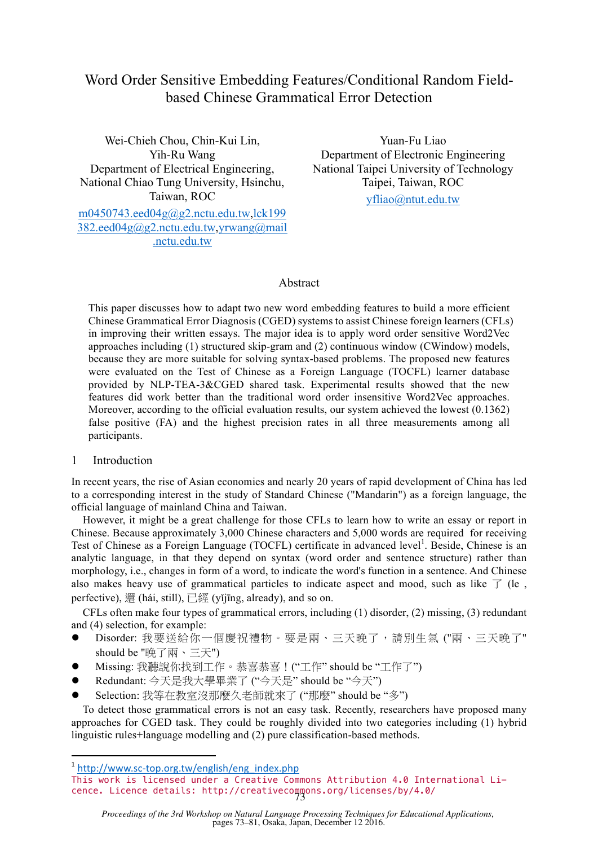# Word Order Sensitive Embedding Features/Conditional Random Fieldbased Chinese Grammatical Error Detection

Wei-Chieh Chou, Chin-Kui Lin, Yih-Ru Wang Department of Electrical Engineering, National Chiao Tung University, Hsinchu, Taiwan, ROC

m0450743.eed04g@g2.nctu.edu.tw,lck199 382.eed04g@g2.nctu.edu.tw,yrwang@mail .nctu.edu.tw

Yuan-Fu Liao Department of Electronic Engineering National Taipei University of Technology Taipei, Taiwan, ROC yfliao@ntut.edu.tw

# Abstract

This paper discusses how to adapt two new word embedding features to build a more efficient Chinese Grammatical Error Diagnosis (CGED) systems to assist Chinese foreign learners (CFLs) in improving their written essays. The major idea is to apply word order sensitive Word2Vec approaches including (1) structured skip-gram and (2) continuous window (CWindow) models, because they are more suitable for solving syntax-based problems. The proposed new features were evaluated on the Test of Chinese as a Foreign Language (TOCFL) learner database provided by NLP-TEA-3&CGED shared task. Experimental results showed that the new features did work better than the traditional word order insensitive Word2Vec approaches. Moreover, according to the official evaluation results, our system achieved the lowest (0.1362) false positive (FA) and the highest precision rates in all three measurements among all participants.

# 1 Introduction

In recent years, the rise of Asian economies and nearly 20 years of rapid development of China has led to a corresponding interest in the study of Standard Chinese ("Mandarin") as a foreign language, the official language of mainland China and Taiwan.

However, it might be a great challenge for those CFLs to learn how to write an essay or report in Chinese. Because approximately 3,000 Chinese characters and 5,000 words are required for receiving Test of Chinese as a Foreign Language (TOCFL) certificate in advanced level<sup>1</sup>. Beside, Chinese is an analytic language, in that they depend on syntax (word order and sentence structure) rather than morphology, i.e., changes in form of a word, to indicate the word's function in a sentence. And Chinese also makes heavy use of grammatical particles to indicate aspect and mood, such as like  $\top$  (le, perfective), 還 (hái, still), 已經 (yǐjīng, already), and so on.

CFLs often make four types of grammatical errors, including (1) disorder, (2) missing, (3) redundant and (4) selection, for example:

- l Disorder: 我要送給你一個慶祝禮物。要是兩、三天晚了,請別生氣 ("兩、三天晚了" should be "晚了兩、三天")
- l Missing: 我聽說你找到工作。恭喜恭喜!("工作" should be "工作了")
- l Redundant: 今天是我大學畢業了 ("今天是" should be "今天")
- l Selection: 我等在教室沒那麼久老師就來了 ("那麼" should be "多")

To detect those grammatical errors is not an easy task. Recently, researchers have proposed many approaches for CGED task. They could be roughly divided into two categories including (1) hybrid linguistic rules+language modelling and (2) pure classification-based methods.

**<u>**  $\frac{1}{2}$  and  $\frac{1}{2}$  and  $\frac{1}{2}$  and  $\frac{1}{2}$  and  $\frac{1}{2}$  and  $\frac{1}{2}$  and  $\frac{1}{2}$  and  $\frac{1}{2}$  and  $\frac{1}{2}$ </u>

*Proceedings of the 3rd Workshop on Natural Language Processing Techniques for Educational Applications*, pages 73–81, Osaka, Japan, December 12 2016.

<sup>&</sup>lt;sup>1</sup> http://www.sc-top.org.tw/english/eng\_index.php

This work is licensed under a Creative Commons Attribution 4.0 International Licence. Licence details: http://creativecommons.org/licenses/by/4.0/ 73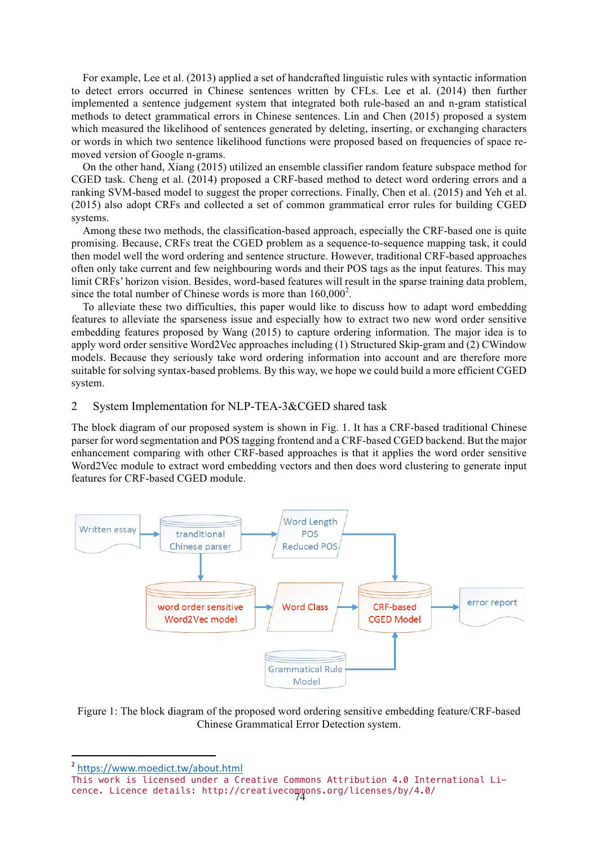For example, Lee et al. (2013) applied a set of handcrafted linguistic rules with syntactic information to detect errors occurred in Chinese sentences written by CFLs. Lee et al. (2014) then further implemented a sentence judgement system that integrated both rule-based an and n-gram statistical methods to detect grammatical errors in Chinese sentences. Lin and Chen (2015) proposed a system which measured the likelihood of sentences generated by deleting, inserting, or exchanging characters or words in which two sentence likelihood functions were proposed based on frequencies of space removed version of Google n-grams.

On the other hand, Xiang (2015) utilized an ensemble classifier random feature subspace method for CGED task. Cheng et al. (2014) proposed a CRF-based method to detect word ordering errors and a ranking SVM-based model to suggest the proper corrections. Finally, Chen et al. (2015) and Yeh et al. (2015) also adopt CRFs and collected a set of common grammatical error rules for building CGED systems.

Among these two methods, the classification-based approach, especially the CRF-based one is quite promising. Because, CRFs treat the CGED problem as a sequence-to-sequence mapping task, it could then model well the word ordering and sentence structure. However, traditional CRF-based approaches often only take current and few neighbouring words and their POS tags as the input features. This may limit CRFs' horizon vision. Besides, word-based features will result in the sparse training data problem, since the total number of Chinese words is more than  $160,000^2$ .

To alleviate these two difficulties, this paper would like to discuss how to adapt word embedding features to alleviate the sparseness issue and especially how to extract two new word order sensitive embedding features proposed by Wang (2015) to capture ordering information. The major idea is to apply word order sensitive Word2Vec approaches including (1) Structured Skip-gram and (2) CWindow models. Because they seriously take word ordering information into account and are therefore more suitable for solving syntax-based problems. By this way, we hope we could build a more efficient CGED system.

## 2 System Implementation for NLP-TEA-3&CGED shared task

The block diagram of our proposed system is shown in Fig. 1. It has a CRF-based traditional Chinese parser for word segmentation and POS tagging frontend and a CRF-based CGED backend. But the major enhancement comparing with other CRF-based approaches is that it applies the word order sensitive Word2Vec module to extract word embedding vectors and then does word clustering to generate input features for CRF-based CGED module.



Figure 1: The block diagram of the proposed word ordering sensitive embedding feature/CRF-based Chinese Grammatical Error Detection system.

**<u>**  $\frac{1}{2}$  and  $\frac{1}{2}$  and  $\frac{1}{2}$  and  $\frac{1}{2}$  and  $\frac{1}{2}$  and  $\frac{1}{2}$  and  $\frac{1}{2}$  and  $\frac{1}{2}$  and  $\frac{1}{2}$ </u>

<sup>2</sup> https://www.moedict.tw/about.html

This work is licensed under a Creative Commons Attribution 4.0 International Licence. Licence details: http://creativecommons.org/licenses/by/4.0/ 74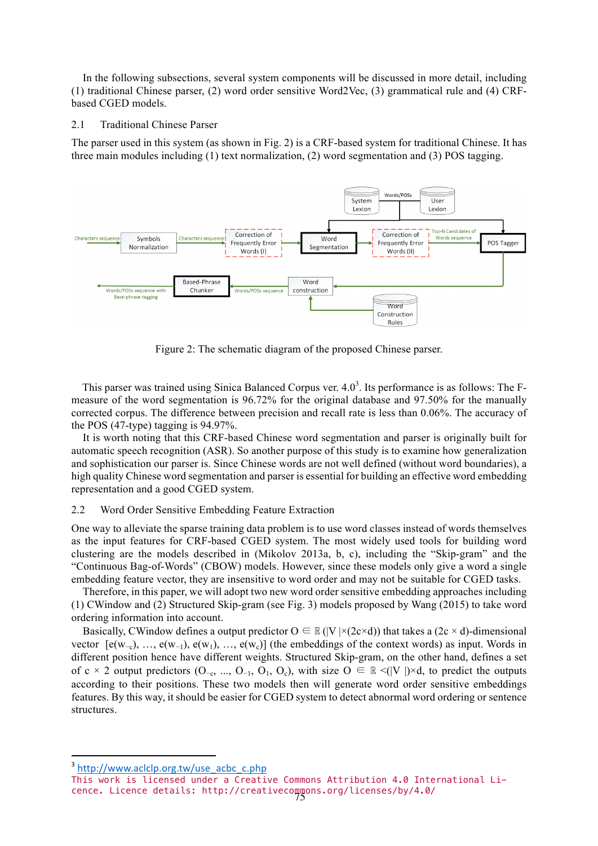In the following subsections, several system components will be discussed in more detail, including (1) traditional Chinese parser, (2) word order sensitive Word2Vec, (3) grammatical rule and (4) CRFbased CGED models.

#### 2.1 Traditional Chinese Parser

The parser used in this system (as shown in Fig. 2) is a CRF-based system for traditional Chinese. It has three main modules including (1) text normalization, (2) word segmentation and (3) POS tagging.



Figure 2: The schematic diagram of the proposed Chinese parser.

This parser was trained using Sinica Balanced Corpus ver.  $4.0<sup>3</sup>$ . Its performance is as follows: The Fmeasure of the word segmentation is 96.72% for the original database and 97.50% for the manually corrected corpus. The difference between precision and recall rate is less than 0.06%. The accuracy of the POS (47-type) tagging is 94.97%.

It is worth noting that this CRF-based Chinese word segmentation and parser is originally built for automatic speech recognition (ASR). So another purpose of this study is to examine how generalization and sophistication our parser is. Since Chinese words are not well defined (without word boundaries), a high quality Chinese word segmentation and parser is essential for building an effective word embedding representation and a good CGED system.

#### 2.2 Word Order Sensitive Embedding Feature Extraction

One way to alleviate the sparse training data problem is to use word classes instead of words themselves as the input features for CRF-based CGED system. The most widely used tools for building word clustering are the models described in (Mikolov 2013a, b, c), including the "Skip-gram" and the "Continuous Bag-of-Words" (CBOW) models. However, since these models only give a word a single embedding feature vector, they are insensitive to word order and may not be suitable for CGED tasks.

Therefore, in this paper, we will adopt two new word order sensitive embedding approaches including (1) CWindow and (2) Structured Skip-gram (see Fig. 3) models proposed by Wang (2015) to take word ordering information into account.

Basically, CWindow defines a output predictor  $O \in \mathbb{R}$  (|V |×(2c×d)) that takes a (2c × d)-dimensional vector  $[e(w_{-c}), ..., e(w_{-1}), e(w_1), ..., e(w_c)]$  (the embeddings of the context words) as input. Words in different position hence have different weights. Structured Skip-gram, on the other hand, defines a set of c × 2 output predictors (O<sub>-c</sub>, ..., O<sub>-1</sub>, O<sub>1</sub>, O<sub>c</sub>), with size  $O \in \mathbb{R} \le (|V|) \times d$ , to predict the outputs according to their positions. These two models then will generate word order sensitive embeddings features. By this way, it should be easier for CGED system to detect abnormal word ordering or sentence structures.

**<u>**  $\frac{1}{2}$  and  $\frac{1}{2}$  and  $\frac{1}{2}$  and  $\frac{1}{2}$  and  $\frac{1}{2}$  and  $\frac{1}{2}$  and  $\frac{1}{2}$  and  $\frac{1}{2}$  and  $\frac{1}{2}$ </u>

<sup>3</sup> http://www.aclclp.org.tw/use\_acbc\_c.php

This work is licensed under a Creative Commons Attribution 4.0 International Licence. Licence details: http://creativecommons.org/licenses/by/4.0/ 75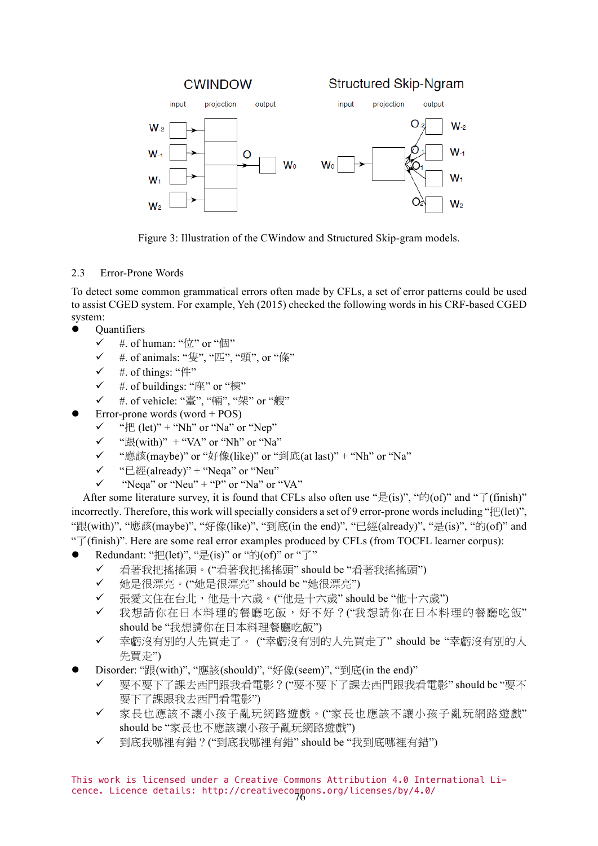

Figure 3: Illustration of the CWindow and Structured Skip-gram models.

# 2.3 Error-Prone Words

To detect some common grammatical errors often made by CFLs, a set of error patterns could be used to assist CGED system. For example, Yeh (2015) checked the following words in his CRF-based CGED system:

- **Ouantifiers** 
	- $\checkmark$  #. of human: " $\hat{\mathbb{Z}}$ " or "個"
	- ✓ #. of animals: "隻", "匹", "頭", or "條"
	- $#$  of things: "件"
	- ü #. of buildings: "座" or "棟"
	- ü #. of vehicle: "臺", "輛", "架" or "艘"
- l Error-prone words (word + POS)
	- $\checkmark$  "<sup>#</sup>E (let)" + "Nh" or "Na" or "Nep"
	- $\checkmark$  " $\mathbb{R}$ (with)" + "VA" or "Nh" or "Na"
	- ü "應該(maybe)" or "好像(like)" or "到底(at last)" + "Nh" or "Na"
	- $\checkmark$  " $\in \mathbb{R}$  (already)" + "Neqa" or "Neu"
	- "Neqa" or "Neu" + "P" or "Na" or "VA"

After some literature survey, it is found that CFLs also often use " $\frac{1}{\mathcal{E}}$ (is)", " $\frac{1}{\mathcal{E}}$ (of)" and " $\frac{1}{\mathcal{I}}$ (finish)" incorrectly. Therefore, this work will specially considers a set of 9 error-prone words including "把(let)", "跟(with)", "應該(maybe)", "好像(like)", "到底(in the end)", "已經(already)", "是(is)", "的(of)" and " $\vec{J}$  (finish)". Here are some real error examples produced by CFLs (from TOCFL learner corpus):

- Redundant: " $\mu$ [let)", " $\frac{1}{k^2}$ (is)" or " $\frac{1}{k^2}$ (of)" or " $\frac{1}{k}$ "
	- ü 看著我把搖搖頭。("看著我把搖搖頭" should be "看著我搖搖頭")
	- ü 她是很漂亮。("她是很漂亮" should be "她很漂亮")
	- 張愛文住在台北,他是十六歲。("他是十六歲" should be "他十六歲")
	- ✔ 我想請你在日本料理的餐廳吃飯,好不好?("我想請你在日本料理的餐廳吃飯" should be "我想請你在日本料理餐廳吃飯")
	- ü 幸虧沒有別的人先買走了。 ("幸虧沒有別的人先買走了" should be "幸虧沒有別的人 先買走")
- l Disorder: "跟(with)", "應該(should)", "好像(seem)", "到底(in the end)"
	- ü 要不要下了課去西門跟我看電影?("要不要下了課去西門跟我看電影" should be "要不 要下了課跟我去西門看電影")
	- ✔ 家長也應該不讓小孩子亂玩網路遊戲。("家長也應該不讓小孩子亂玩網路遊戲" should be "家長也不應該讓小孩子亂玩網路遊戲")
	- ü 到底我哪裡有錯?("到底我哪裡有錯" should be "我到底哪裡有錯")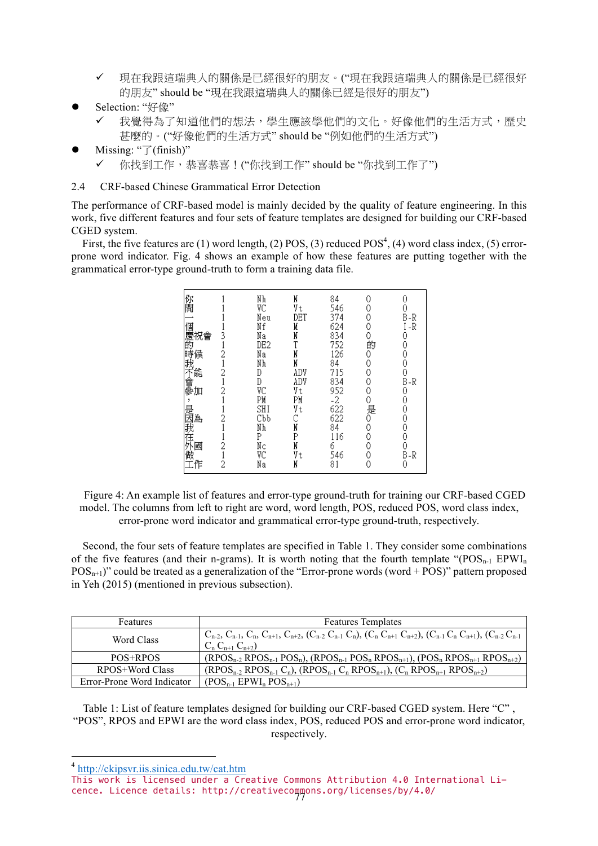- ✔ 現在我跟這瑞典人的關係是已經很好的朋友。("現在我跟這瑞典人的關係是已經很好 的朋友" should be "現在我跟這瑞典人的關係已經是很好的朋友")
- Selection: "好像"
	- 我覺得為了知道他們的想法,學生應該學他們的文化。好像他們的生活方式,歷史 甚麼的。("好像他們的生活方式" should be "例如他們的生活方式")
- Missing: "了(finish)"
	- ü 你找到工作,恭喜恭喜!("你找到工作" should be "你找到工作了")

## 2.4 CRF-based Chinese Grammatical Error Detection

The performance of CRF-based model is mainly decided by the quality of feature engineering. In this work, five different features and four sets of feature templates are designed for building our CRF-based CGED system.

First, the five features are (1) word length, (2) POS, (3) reduced  $POS<sup>4</sup>$ , (4) word class index, (5) errorprone word indicator. Fig. 4 shows an example of how these features are putting together with the grammatical error-type ground-truth to form a training data file.

| 你開<br>Nh<br>N<br>84<br>0<br>0<br>VC<br>546<br>Vt<br>0<br>374<br>Neu<br>DET<br>B-R<br>0<br>個慶的<br>Nf<br>624<br>I -R<br>0<br>M<br>834<br>Nа<br>N<br>祝會<br>0<br>DE2<br>$\frac{752}{126}$<br>的<br>0<br>i時我不會參加<br>時我不會參<br>Nа<br>0<br>0<br>N<br>84<br>Nh<br>N<br>0<br>0<br>715<br>ADV<br>0<br>D<br>834<br>ADV<br>$B-R$<br>0<br>D<br>VC<br>Vt<br>952<br>0<br>0<br>PM<br>$-2$<br>622<br>ЫĀ<br>0<br>0<br>是0<br>,<br>SHI<br>Vt<br>是因我在外监<br>0<br>622<br>Cbb<br>0<br>84<br>Nh<br>0<br>N<br>0<br>P<br>116<br>0<br>0<br>P<br>Nс<br>N<br>6<br>VC<br>546<br>Vt<br>$B-R$<br>81<br>0<br>2<br>0 |         |    |   |  |  |
|---------------------------------------------------------------------------------------------------------------------------------------------------------------------------------------------------------------------------------------------------------------------------------------------------------------------------------------------------------------------------------------------------------------------------------------------------------------------------------------------------------------------------------------------------------------------------------|---------|----|---|--|--|
|                                                                                                                                                                                                                                                                                                                                                                                                                                                                                                                                                                                 | 做<br>工作 | Nа | N |  |  |
|                                                                                                                                                                                                                                                                                                                                                                                                                                                                                                                                                                                 |         |    |   |  |  |

Figure 4: An example list of features and error-type ground-truth for training our CRF-based CGED model. The columns from left to right are word, word length, POS, reduced POS, word class index, error-prone word indicator and grammatical error-type ground-truth, respectively.

Second, the four sets of feature templates are specified in Table 1. They consider some combinations of the five features (and their n-grams). It is worth noting that the fourth template " $(POS_{n-1}EPWI_n)$ "  $POS_{n+1}$ " could be treated as a generalization of the "Error-prone words (word + POS)" pattern proposed in Yeh (2015) (mentioned in previous subsection).

| Features                   | <b>Features Templates</b>                                                                                                                                                           |
|----------------------------|-------------------------------------------------------------------------------------------------------------------------------------------------------------------------------------|
| Word Class                 | $C_{n-2}$ , $C_{n-1}$ , $C_n$ , $C_{n+1}$ , $C_{n+2}$ , $(C_{n-2}$ , $C_{n-1}$ , $C_n$ ), $(C_n$ , $C_{n+1}$ , $C_{n+2}$ , $(C_{n-1}$ , $C_n$ , $C_{n+1}$ ), $(C_{n-2}$ , $C_{n-1}$ |
|                            | $C_n C_{n+1} C_{n+2}$                                                                                                                                                               |
| POS+RPOS                   | $(RPOS_{n-2}RPOS_{n-1}POS_{n}), (RPOS_{n-1}POS_{n}RPOS_{n+1}), (POS_{n}RPOS_{n+1}RPOS_{n+2})$                                                                                       |
| RPOS+Word Class            | $(RPOS_{n-2}RPOS_{n-1}C_n)$ , $(RPOS_{n-1}C_nRPOS_{n+1})$ , $(C_nRPOS_{n+1}RPOS_{n+2})$                                                                                             |
| Error-Prone Word Indicator | $(POS_{n-1}EPWI_n POS_{n+1})$                                                                                                                                                       |

Table 1: List of feature templates designed for building our CRF-based CGED system. Here "C", "POS", RPOS and EPWI are the word class index, POS, reduced POS and error-prone word indicator, respectively.

 $\frac{4 \text{ http://ckipsvr.iis.sinica.edu.tw/cat.htm}}$ 

This work is licensed under a Creative Commons Attribution 4.0 International Licence. Licence details: http://creativecommons.org/licenses/by/4.0/ 77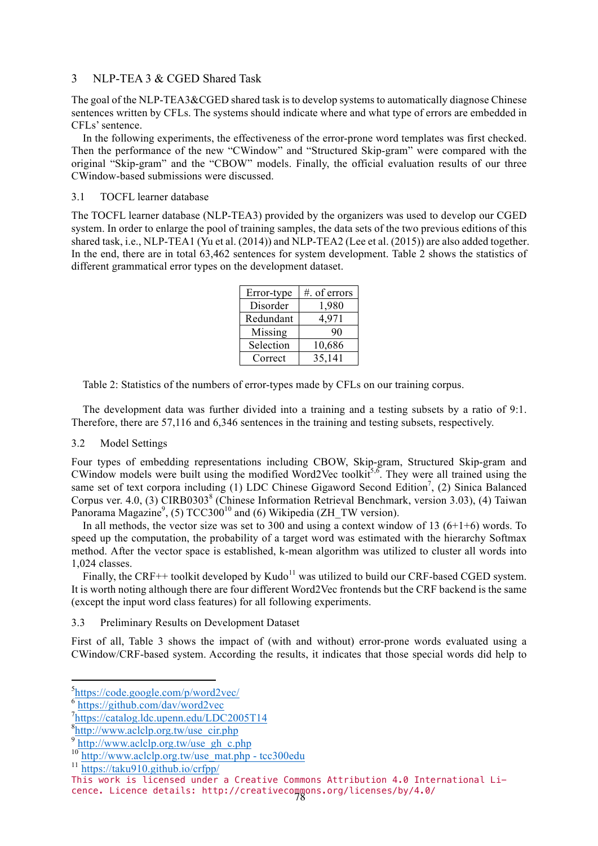## 3 NLP-TEA 3 & CGED Shared Task

The goal of the NLP-TEA3&CGED shared task is to develop systems to automatically diagnose Chinese sentences written by CFLs. The systems should indicate where and what type of errors are embedded in CFLs' sentence.

In the following experiments, the effectiveness of the error-prone word templates was first checked. Then the performance of the new "CWindow" and "Structured Skip-gram" were compared with the original "Skip-gram" and the "CBOW" models. Finally, the official evaluation results of our three CWindow-based submissions were discussed.

## 3.1 TOCFL learner database

The TOCFL learner database (NLP-TEA3) provided by the organizers was used to develop our CGED system. In order to enlarge the pool of training samples, the data sets of the two previous editions of this shared task, i.e., NLP-TEA1 (Yu et al. (2014)) and NLP-TEA2 (Lee et al. (2015)) are also added together. In the end, there are in total 63,462 sentences for system development. Table 2 shows the statistics of different grammatical error types on the development dataset.

| Error-type | #. of errors |
|------------|--------------|
| Disorder   | 1,980        |
| Redundant  | 4,971        |
| Missing    | 90           |
| Selection  | 10,686       |
| Correct    | 35,141       |

Table 2: Statistics of the numbers of error-types made by CFLs on our training corpus.

The development data was further divided into a training and a testing subsets by a ratio of 9:1. Therefore, there are 57,116 and 6,346 sentences in the training and testing subsets, respectively.

# 3.2 Model Settings

Four types of embedding representations including CBOW, Skip-gram, Structured Skip-gram and CWindow models were built using the modified Word2Vec toolkit<sup>5,6</sup>. They were all trained using the same set of text corpora including  $(1)$  LDC Chinese Gigaword Second Edition<sup>7</sup>,  $(2)$  Sinica Balanced Corpus ver. 4.0, (3) CIRB0303<sup>8</sup> (Chinese Information Retrieval Benchmark, version 3.03), (4) Taiwan Panorama Magazine<sup>9</sup>, (5)  $TCC300^{10}$  and (6) Wikipedia (ZH\_TW version).

In all methods, the vector size was set to 300 and using a context window of 13  $(6+1+6)$  words. To speed up the computation, the probability of a target word was estimated with the hierarchy Softmax method. After the vector space is established, k-mean algorithm was utilized to cluster all words into 1,024 classes.

Finally, the CRF++ toolkit developed by Kudo<sup>11</sup> was utilized to build our CRF-based CGED system. It is worth noting although there are four different Word2Vec frontends but the CRF backend is the same (except the input word class features) for all following experiments.

3.3 Preliminary Results on Development Dataset

First of all, Table 3 shows the impact of (with and without) error-prone words evaluated using a CWindow/CRF-based system. According the results, it indicates that those special words did help to

s<br>**https://code.google.com/p/word2vec/** 

 $\frac{1}{6}$ https://github.com/dav/word2vec

<sup>7</sup>https://catalog.ldc.upenn.edu/LDC2005T14

<sup>8</sup> http://www.aclclp.org.tw/use\_cir.php

<sup>&</sup>lt;sup>9</sup> http://www.aclclp.org.tw/use\_gh\_c.php

<sup>&</sup>lt;sup>10</sup> http://www.aclclp.org.tw/use\_mat.php - tcc300edu

<sup>11</sup> https://taku910.github.io/crfpp/

This work is licensed under a Creative Commons Attribution 4.0 International Li-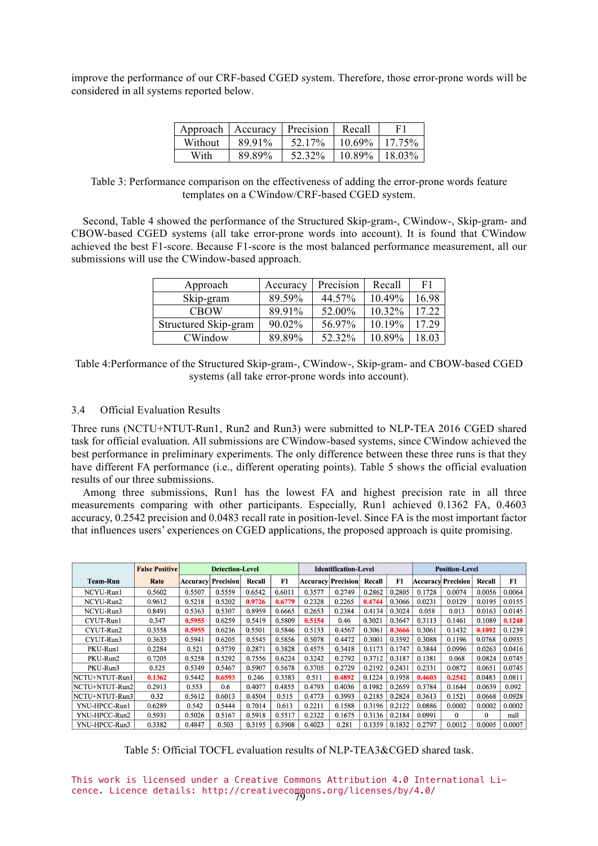improve the performance of our CRF-based CGED system. Therefore, those error-prone words will be considered in all systems reported below.

| Approach | <b>Accuracy</b> | Precision | Recall    | F1        |
|----------|-----------------|-----------|-----------|-----------|
| Without  | 89.91%          | 52 17%    | $10.69\%$ | $17.75\%$ |
| With     | 89.89%          | 52.32%    | 10.89%    | $18.03\%$ |

Table 3: Performance comparison on the effectiveness of adding the error-prone words feature templates on a CWindow/CRF-based CGED system.

Second, Table 4 showed the performance of the Structured Skip-gram-, CWindow-, Skip-gram- and CBOW-based CGED systems (all take error-prone words into account). It is found that CWindow achieved the best F1-score. Because F1-score is the most balanced performance measurement, all our submissions will use the CWindow-based approach.

| Approach             | Accuracy | Precision | Recall    | F1    |
|----------------------|----------|-----------|-----------|-------|
| Skip-gram            | 89.59%   | 44.57%    | $10.49\%$ | 16.98 |
| <b>CBOW</b>          | 89.91%   | 52.00%    | $10.32\%$ | 17 22 |
| Structured Skip-gram | 90.02%   | 56.97%    | 10.19%    | 17 29 |
| CWindow              | 89 89%   | 52.32%    | 10.89%    | 18 03 |

Table 4:Performance of the Structured Skip-gram-, CWindow-, Skip-gram- and CBOW-based CGED systems (all take error-prone words into account).

#### 3.4 Official Evaluation Results

Three runs (NCTU+NTUT-Run1, Run2 and Run3) were submitted to NLP-TEA 2016 CGED shared task for official evaluation. All submissions are CWindow-based systems, since CWindow achieved the best performance in preliminary experiments. The only difference between these three runs is that they have different FA performance (i.e., different operating points). Table 5 shows the official evaluation results of our three submissions.

Among three submissions, Run1 has the lowest FA and highest precision rate in all three measurements comparing with other participants. Especially, Run1 achieved 0.1362 FA, 0.4603 accuracy, 0.2542 precision and 0.0483 recall rate in position-level. Since FA is the most important factor that influences users' experiences on CGED applications, the proposed approach is quite promising.

|                | <b>False Positive</b> | <b>Detection-Level</b> |           |        |        |          | <b>Identification-Level</b> |        |        | <b>Position-Level</b> |                    |        |        |
|----------------|-----------------------|------------------------|-----------|--------|--------|----------|-----------------------------|--------|--------|-----------------------|--------------------|--------|--------|
| Team-Run       | Rate                  | Accuracy               | Precision | Recall | F1     | Accuracv | <b>Precision</b>            | Recall | F1     |                       | Accuracy Precision | Recall | F1     |
| NCYU-Run1      | 0.5602                | 0.5507                 | 0.5559    | 0.6542 | 0.6011 | 0.3577   | 0.2749                      | 0.2862 | 0.2805 | 0.1728                | 0.0074             | 0.0056 | 0.0064 |
| NCYU-Run2      | 0.9612                | 0.5218                 | 0.5202    | 0.9726 | 0.6779 | 0.2328   | 0.2265                      | 0.4744 | 0.3066 | 0.0231                | 0.0129             | 0.0195 | 0.0155 |
| NCYU-Run3      | 0.8491                | 0.5363                 | 0.5307    | 0.8959 | 0.6665 | 0.2653   | 0.2384                      | 0.4134 | 0.3024 | 0.058                 | 0.013              | 0.0163 | 0.0145 |
| CYUT-Run1      | 0.347                 | 0.5955                 | 0.6259    | 0.5419 | 0.5809 | 0.5154   | 0.46                        | 0.3021 | 0.3647 | 0.3113                | 0.1461             | 0.1089 | 0.1248 |
| CYUT-Run2      | 0.3558                | 0.5955                 | 0.6236    | 0.5501 | 0.5846 | 0.5133   | 0.4567                      | 0.3061 | 0.3666 | 0.3061                | 0.1432             | 0.1092 | 0.1239 |
| CYUT-Run3      | 0.3635                | 0.5941                 | 0.6205    | 0.5545 | 0.5856 | 0.5078   | 0.4472                      | 0.3001 | 0.3592 | 0.3088                | 0.1196             | 0.0768 | 0.0935 |
| PKU-Run1       | 0.2284                | 0.521                  | 0.5739    | 0.2871 | 0.3828 | 0.4575   | 0.3418                      | 0.1173 | 0.1747 | 0.3844                | 0.0996             | 0.0263 | 0.0416 |
| PKU-Run2       | 0.7205                | 0.5258                 | 0.5292    | 0.7556 | 0.6224 | 0.3242   | 0.2792                      | 0.3712 | 0.3187 | 0.1381                | 0.068              | 0.0824 | 0.0745 |
| PKU-Run3       | 0.525                 | 0.5349                 | 0.5467    | 0.5907 | 0.5678 | 0.3705   | 0.2729                      | 0.2192 | 0.2431 | 0.2331                | 0.0872             | 0.0651 | 0.0745 |
| NCTU+NTUT-Run1 | 0.1362                | 0.5442                 | 0.6593    | 0.246  | 0.3583 | 0.511    | 0.4892                      | 0.1224 | 0.1958 | 0.4603                | 0.2542             | 0.0483 | 0.0811 |
| NCTU+NTUT-Run2 | 0.2913                | 0.553                  | 0.6       | 0.4077 | 0.4855 | 0.4793   | 0.4036                      | 0.1982 | 0.2659 | 0.3784                | 0.1644             | 0.0639 | 0.092  |
| NCTU+NTUT-Run3 | 0.32                  | 0.5612                 | 0.6013    | 0.4504 | 0.515  | 0.4773   | 0.3993                      | 0.2185 | 0.2824 | 0.3613                | 0.1521             | 0.0668 | 0.0928 |
| YNU-HPCC-Run1  | 0.6289                | 0.542                  | 0.5444    | 0.7014 | 0.613  | 0.2211   | 0.1588                      | 0.3196 | 0.2122 | 0.0886                | 0.0002             | 0.0002 | 0.0002 |
| YNU-HPCC-Run2  | 0.5931                | 0.5026                 | 0.5167    | 0.5918 | 0.5517 | 0.2322   | 0.1675                      | 0.3136 | 0.2184 | 0.0991                | 0                  | 0      | null   |
| YNU-HPCC-Run3  | 0.3382                | 0.4847                 | 0.503     | 0.3195 | 0.3908 | 0.4023   | 0.281                       | 0.1359 | 0.1832 | 0.2797                | 0.0012             | 0.0005 | 0.0007 |

Table 5: Official TOCFL evaluation results of NLP-TEA3&CGED shared task.

This work is licensed under a Creative Commons Attribution 4.0 International Licence. Licence details: http://creativecommons.org/licenses/by/4.0/ 79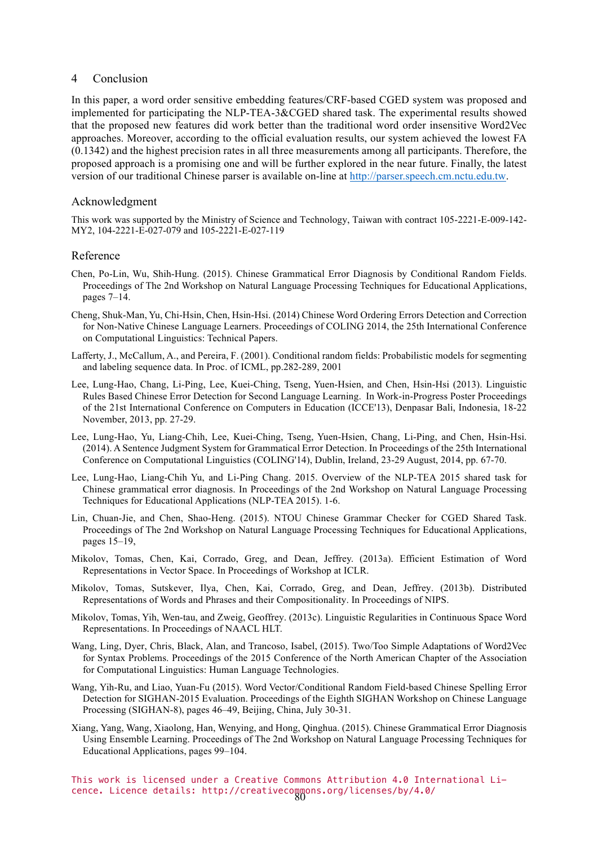#### 4 Conclusion

In this paper, a word order sensitive embedding features/CRF-based CGED system was proposed and implemented for participating the NLP-TEA-3&CGED shared task. The experimental results showed that the proposed new features did work better than the traditional word order insensitive Word2Vec approaches. Moreover, according to the official evaluation results, our system achieved the lowest FA (0.1342) and the highest precision rates in all three measurements among all participants. Therefore, the proposed approach is a promising one and will be further explored in the near future. Finally, the latest version of our traditional Chinese parser is available on-line at http://parser.speech.cm.nctu.edu.tw.

## Acknowledgment

This work was supported by the Ministry of Science and Technology, Taiwan with contract 105-2221-E-009-142- MY2, 104-2221-E-027-079 and 105-2221-E-027-119

## Reference

- Chen, Po-Lin, Wu, Shih-Hung. (2015). Chinese Grammatical Error Diagnosis by Conditional Random Fields. Proceedings of The 2nd Workshop on Natural Language Processing Techniques for Educational Applications, pages 7–14.
- Cheng, Shuk-Man, Yu, Chi-Hsin, Chen, Hsin-Hsi. (2014) Chinese Word Ordering Errors Detection and Correction for Non-Native Chinese Language Learners. Proceedings of COLING 2014, the 25th International Conference on Computational Linguistics: Technical Papers.
- Lafferty, J., McCallum, A., and Pereira, F. (2001). Conditional random fields: Probabilistic models for segmenting and labeling sequence data. In Proc. of ICML, pp.282-289, 2001
- Lee, Lung-Hao, Chang, Li-Ping, Lee, Kuei-Ching, Tseng, Yuen-Hsien, and Chen, Hsin-Hsi (2013). Linguistic Rules Based Chinese Error Detection for Second Language Learning. In Work-in-Progress Poster Proceedings of the 21st International Conference on Computers in Education (ICCE'13), Denpasar Bali, Indonesia, 18-22 November, 2013, pp. 27-29.
- Lee, Lung-Hao, Yu, Liang-Chih, Lee, Kuei-Ching, Tseng, Yuen-Hsien, Chang, Li-Ping, and Chen, Hsin-Hsi. (2014). A Sentence Judgment System for Grammatical Error Detection. In Proceedings of the 25th International Conference on Computational Linguistics (COLING'14), Dublin, Ireland, 23-29 August, 2014, pp. 67-70.
- Lee, Lung-Hao, Liang-Chih Yu, and Li-Ping Chang. 2015. Overview of the NLP-TEA 2015 shared task for Chinese grammatical error diagnosis. In Proceedings of the 2nd Workshop on Natural Language Processing Techniques for Educational Applications (NLP-TEA 2015). 1-6.
- Lin, Chuan-Jie, and Chen, Shao-Heng. (2015). NTOU Chinese Grammar Checker for CGED Shared Task. Proceedings of The 2nd Workshop on Natural Language Processing Techniques for Educational Applications, pages 15–19,
- Mikolov, Tomas, Chen, Kai, Corrado, Greg, and Dean, Jeffrey. (2013a). Efficient Estimation of Word Representations in Vector Space. In Proceedings of Workshop at ICLR.
- Mikolov, Tomas, Sutskever, Ilya, Chen, Kai, Corrado, Greg, and Dean, Jeffrey. (2013b). Distributed Representations of Words and Phrases and their Compositionality. In Proceedings of NIPS.
- Mikolov, Tomas, Yih, Wen-tau, and Zweig, Geoffrey. (2013c). Linguistic Regularities in Continuous Space Word Representations. In Proceedings of NAACL HLT.
- Wang, Ling, Dyer, Chris, Black, Alan, and Trancoso, Isabel, (2015). Two/Too Simple Adaptations of Word2Vec for Syntax Problems. Proceedings of the 2015 Conference of the North American Chapter of the Association for Computational Linguistics: Human Language Technologies.
- Wang, Yih-Ru, and Liao, Yuan-Fu (2015). Word Vector/Conditional Random Field-based Chinese Spelling Error Detection for SIGHAN-2015 Evaluation. Proceedings of the Eighth SIGHAN Workshop on Chinese Language Processing (SIGHAN-8), pages 46–49, Beijing, China, July 30-31.
- Xiang, Yang, Wang, Xiaolong, Han, Wenying, and Hong, Qinghua. (2015). Chinese Grammatical Error Diagnosis Using Ensemble Learning. Proceedings of The 2nd Workshop on Natural Language Processing Techniques for Educational Applications, pages 99–104.

This work is licensed under a Creative Commons Attribution 4.0 International Licence. Licence details: http://creativecommons.org/licenses/by/4.0/ 80